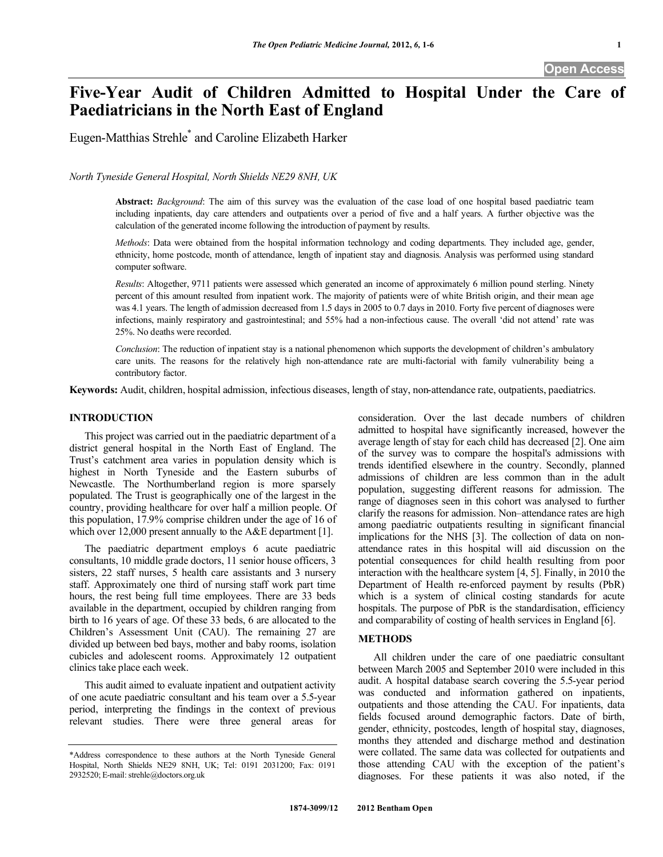# **Five-Year Audit of Children Admitted to Hospital Under the Care of Paediatricians in the North East of England**

Eugen-Matthias Strehle\* and Caroline Elizabeth Harker

*North Tyneside General Hospital, North Shields NE29 8NH, UK* 

**Abstract:** *Background*: The aim of this survey was the evaluation of the case load of one hospital based paediatric team including inpatients, day care attenders and outpatients over a period of five and a half years. A further objective was the calculation of the generated income following the introduction of payment by results.

*Methods*: Data were obtained from the hospital information technology and coding departments. They included age, gender, ethnicity, home postcode, month of attendance, length of inpatient stay and diagnosis. Analysis was performed using standard computer software.

*Results*: Altogether, 9711 patients were assessed which generated an income of approximately 6 million pound sterling. Ninety percent of this amount resulted from inpatient work. The majority of patients were of white British origin, and their mean age was 4.1 years. The length of admission decreased from 1.5 days in 2005 to 0.7 days in 2010. Forty five percent of diagnoses were infections, mainly respiratory and gastrointestinal; and 55% had a non-infectious cause. The overall 'did not attend' rate was 25%. No deaths were recorded.

*Conclusion*: The reduction of inpatient stay is a national phenomenon which supports the development of children's ambulatory care units. The reasons for the relatively high non-attendance rate are multi-factorial with family vulnerability being a contributory factor.

**Keywords:** Audit, children, hospital admission, infectious diseases, length of stay, non-attendance rate, outpatients, paediatrics.

# **INTRODUCTION**

 This project was carried out in the paediatric department of a district general hospital in the North East of England. The Trust's catchment area varies in population density which is highest in North Tyneside and the Eastern suburbs of Newcastle. The Northumberland region is more sparsely populated. The Trust is geographically one of the largest in the country, providing healthcare for over half a million people. Of this population, 17.9% comprise children under the age of 16 of which over 12,000 present annually to the A&E department [1].

 The paediatric department employs 6 acute paediatric consultants, 10 middle grade doctors, 11 senior house officers, 3 sisters, 22 staff nurses, 5 health care assistants and 3 nursery staff. Approximately one third of nursing staff work part time hours, the rest being full time employees. There are 33 beds available in the department, occupied by children ranging from birth to 16 years of age. Of these 33 beds, 6 are allocated to the Children's Assessment Unit (CAU). The remaining 27 are divided up between bed bays, mother and baby rooms, isolation cubicles and adolescent rooms. Approximately 12 outpatient clinics take place each week.

 This audit aimed to evaluate inpatient and outpatient activity of one acute paediatric consultant and his team over a 5.5-year period, interpreting the findings in the context of previous relevant studies. There were three general areas for consideration. Over the last decade numbers of children admitted to hospital have significantly increased, however the average length of stay for each child has decreased [2]. One aim of the survey was to compare the hospital's admissions with trends identified elsewhere in the country. Secondly, planned admissions of children are less common than in the adult population, suggesting different reasons for admission. The range of diagnoses seen in this cohort was analysed to further clarify the reasons for admission. Non–attendance rates are high among paediatric outpatients resulting in significant financial implications for the NHS [3]. The collection of data on nonattendance rates in this hospital will aid discussion on the potential consequences for child health resulting from poor interaction with the healthcare system [4, 5]. Finally, in 2010 the Department of Health re-enforced payment by results (PbR) which is a system of clinical costing standards for acute hospitals. The purpose of PbR is the standardisation, efficiency and comparability of costing of health services in England [6].

# **METHODS**

 All children under the care of one paediatric consultant between March 2005 and September 2010 were included in this audit. A hospital database search covering the 5.5-year period was conducted and information gathered on inpatients, outpatients and those attending the CAU. For inpatients, data fields focused around demographic factors. Date of birth, gender, ethnicity, postcodes, length of hospital stay, diagnoses, months they attended and discharge method and destination were collated. The same data was collected for outpatients and those attending CAU with the exception of the patient's diagnoses. For these patients it was also noted, if the

<sup>\*</sup>Address correspondence to these authors at the North Tyneside General Hospital, North Shields NE29 8NH, UK; Tel: 0191 2031200; Fax: 0191 2932520; E-mail: strehle@doctors.org.uk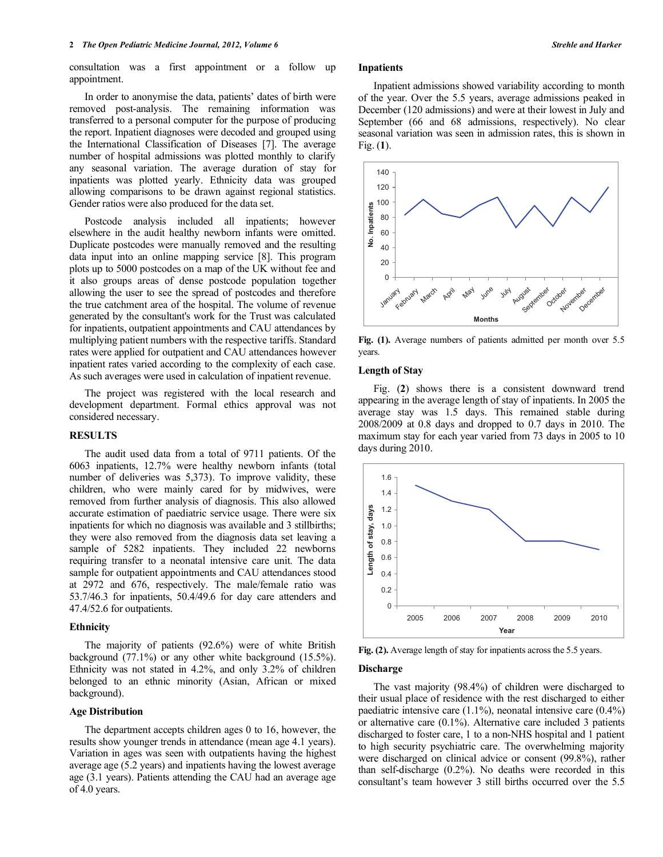consultation was a first appointment or a follow up appointment.

 In order to anonymise the data, patients' dates of birth were removed post-analysis. The remaining information was transferred to a personal computer for the purpose of producing the report. Inpatient diagnoses were decoded and grouped using the International Classification of Diseases [7]. The average number of hospital admissions was plotted monthly to clarify any seasonal variation. The average duration of stay for inpatients was plotted yearly. Ethnicity data was grouped allowing comparisons to be drawn against regional statistics. Gender ratios were also produced for the data set.

 Postcode analysis included all inpatients; however elsewhere in the audit healthy newborn infants were omitted. Duplicate postcodes were manually removed and the resulting data input into an online mapping service [8]. This program plots up to 5000 postcodes on a map of the UK without fee and it also groups areas of dense postcode population together allowing the user to see the spread of postcodes and therefore the true catchment area of the hospital. The volume of revenue generated by the consultant's work for the Trust was calculated for inpatients, outpatient appointments and CAU attendances by multiplying patient numbers with the respective tariffs. Standard rates were applied for outpatient and CAU attendances however inpatient rates varied according to the complexity of each case. As such averages were used in calculation of inpatient revenue.

 The project was registered with the local research and development department. Formal ethics approval was not considered necessary.

#### **RESULTS**

 The audit used data from a total of 9711 patients. Of the 6063 inpatients, 12.7% were healthy newborn infants (total number of deliveries was 5,373). To improve validity, these children, who were mainly cared for by midwives, were removed from further analysis of diagnosis. This also allowed accurate estimation of paediatric service usage. There were six inpatients for which no diagnosis was available and 3 stillbirths; they were also removed from the diagnosis data set leaving a sample of 5282 inpatients. They included 22 newborns requiring transfer to a neonatal intensive care unit. The data sample for outpatient appointments and CAU attendances stood at 2972 and 676, respectively. The male/female ratio was 53.7/46.3 for inpatients, 50.4/49.6 for day care attenders and 47.4/52.6 for outpatients.

#### **Ethnicity**

 The majority of patients (92.6%) were of white British background (77.1%) or any other white background (15.5%). Ethnicity was not stated in 4.2%, and only 3.2% of children belonged to an ethnic minority (Asian, African or mixed background).

# **Age Distribution**

 The department accepts children ages 0 to 16, however, the results show younger trends in attendance (mean age 4.1 years). Variation in ages was seen with outpatients having the highest average age (5.2 years) and inpatients having the lowest average age (3.1 years). Patients attending the CAU had an average age of 4.0 years.

#### **Inpatients**

 Inpatient admissions showed variability according to month of the year. Over the 5.5 years, average admissions peaked in December (120 admissions) and were at their lowest in July and September (66 and 68 admissions, respectively). No clear seasonal variation was seen in admission rates, this is shown in Fig. (**1**).



**Fig. (1).** Average numbers of patients admitted per month over 5.5 years.

#### **Length of Stay**

 Fig. (**2**) shows there is a consistent downward trend appearing in the average length of stay of inpatients. In 2005 the average stay was 1.5 days. This remained stable during 2008/2009 at 0.8 days and dropped to 0.7 days in 2010. The maximum stay for each year varied from 73 days in 2005 to 10 days during 2010.



**Fig. (2).** Average length of stay for inpatients across the 5.5 years.

#### **Discharge**

 The vast majority (98.4%) of children were discharged to their usual place of residence with the rest discharged to either paediatric intensive care  $(1.1\%)$ , neonatal intensive care  $(0.4\%)$ or alternative care (0.1%). Alternative care included 3 patients discharged to foster care, 1 to a non-NHS hospital and 1 patient to high security psychiatric care. The overwhelming majority were discharged on clinical advice or consent (99.8%), rather than self-discharge (0.2%). No deaths were recorded in this consultant's team however 3 still births occurred over the 5.5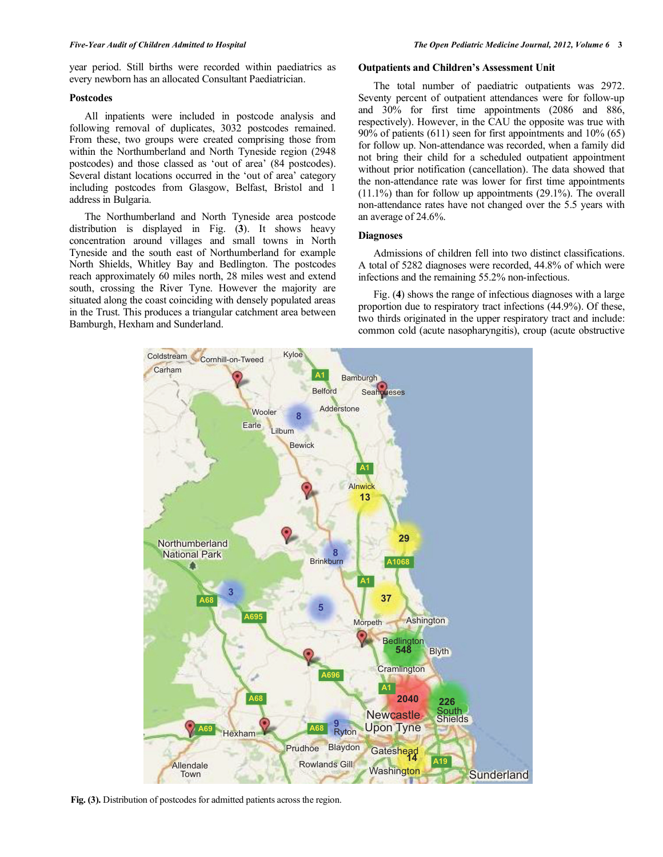year period. Still births were recorded within paediatrics as every newborn has an allocated Consultant Paediatrician.

# **Postcodes**

 All inpatients were included in postcode analysis and following removal of duplicates, 3032 postcodes remained. From these, two groups were created comprising those from within the Northumberland and North Tyneside region (2948 postcodes) and those classed as 'out of area' (84 postcodes). Several distant locations occurred in the 'out of area' category including postcodes from Glasgow, Belfast, Bristol and 1 address in Bulgaria.

 The Northumberland and North Tyneside area postcode distribution is displayed in Fig. (**3**). It shows heavy concentration around villages and small towns in North Tyneside and the south east of Northumberland for example North Shields, Whitley Bay and Bedlington. The postcodes reach approximately 60 miles north, 28 miles west and extend south, crossing the River Tyne. However the majority are situated along the coast coinciding with densely populated areas in the Trust. This produces a triangular catchment area between Bamburgh, Hexham and Sunderland.

#### **Outpatients and Children's Assessment Unit**

 The total number of paediatric outpatients was 2972. Seventy percent of outpatient attendances were for follow-up and 30% for first time appointments (2086 and 886, respectively). However, in the CAU the opposite was true with 90% of patients (611) seen for first appointments and 10% (65) for follow up. Non-attendance was recorded, when a family did not bring their child for a scheduled outpatient appointment without prior notification (cancellation). The data showed that the non-attendance rate was lower for first time appointments  $(11.1\%)$  than for follow up appointments  $(29.1\%)$ . The overall non-attendance rates have not changed over the 5.5 years with an average of 24.6%.

# **Diagnoses**

 Admissions of children fell into two distinct classifications. A total of 5282 diagnoses were recorded, 44.8% of which were infections and the remaining 55.2% non-infectious.

 Fig. (**4**) shows the range of infectious diagnoses with a large proportion due to respiratory tract infections (44.9%). Of these, two thirds originated in the upper respiratory tract and include: common cold (acute nasopharyngitis), croup (acute obstructive



**Fig. (3).** Distribution of postcodes for admitted patients across the region.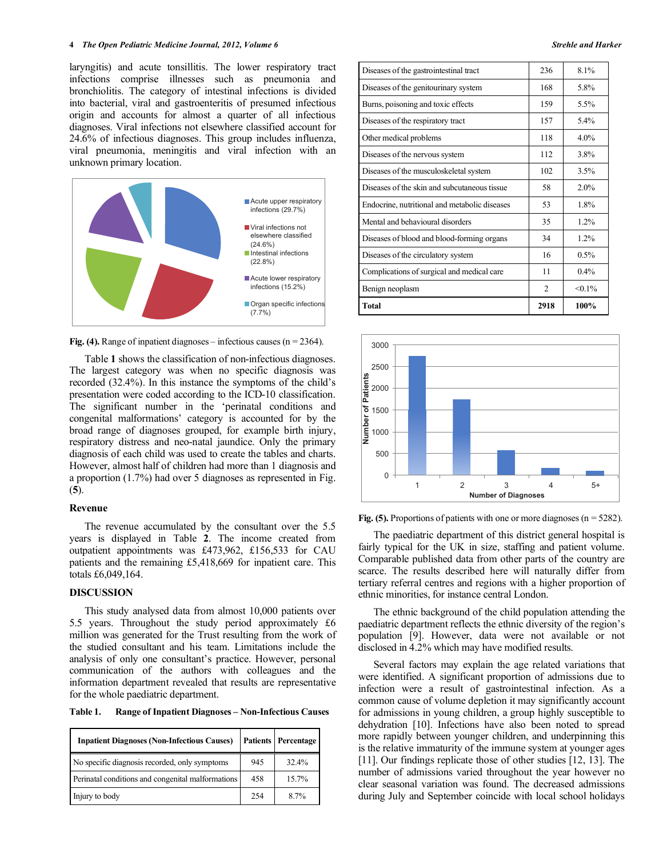laryngitis) and acute tonsillitis. The lower respiratory tract infections comprise illnesses such as pneumonia and bronchiolitis. The category of intestinal infections is divided into bacterial, viral and gastroenteritis of presumed infectious origin and accounts for almost a quarter of all infectious diagnoses. Viral infections not elsewhere classified account for 24.6% of infectious diagnoses. This group includes influenza, viral pneumonia, meningitis and viral infection with an unknown primary location.



**Fig. (4).** Range of inpatient diagnoses – infectious causes  $(n = 2364)$ .

 Table **1** shows the classification of non-infectious diagnoses. The largest category was when no specific diagnosis was recorded (32.4%). In this instance the symptoms of the child's presentation were coded according to the ICD-10 classification. The significant number in the 'perinatal conditions and congenital malformations' category is accounted for by the broad range of diagnoses grouped, for example birth injury, respiratory distress and neo-natal jaundice. Only the primary diagnosis of each child was used to create the tables and charts. However, almost half of children had more than 1 diagnosis and a proportion (1.7%) had over 5 diagnoses as represented in Fig. (**5**).

# **Revenue**

 The revenue accumulated by the consultant over the 5.5 years is displayed in Table **2**. The income created from outpatient appointments was £473,962, £156,533 for CAU patients and the remaining £5,418,669 for inpatient care. This totals £6,049,164.

# **DISCUSSION**

 This study analysed data from almost 10,000 patients over 5.5 years. Throughout the study period approximately £6 million was generated for the Trust resulting from the work of the studied consultant and his team. Limitations include the analysis of only one consultant's practice. However, personal communication of the authors with colleagues and the information department revealed that results are representative for the whole paediatric department.

**Table 1. Range of Inpatient Diagnoses – Non-Infectious Causes** 

| <b>Inpatient Diagnoses (Non-Infectious Causes)</b> |     | <b>Patients Percentage</b> |
|----------------------------------------------------|-----|----------------------------|
| No specific diagnosis recorded, only symptoms      | 945 | 32.4%                      |
| Perinatal conditions and congenital malformations  | 458 | 15.7%                      |
| Injury to body                                     | 254 | $8.7\%$                    |

| Diseases of the gastrointestinal tract        | 236            | 8.1%      |
|-----------------------------------------------|----------------|-----------|
| Diseases of the genitourinary system          | 168            | 5.8%      |
| Burns, poisoning and toxic effects            | 159            | 5.5%      |
| Diseases of the respiratory tract             | 157            | 5.4%      |
| Other medical problems                        | 118            | 4.0%      |
| Diseases of the nervous system                | 112            | 3.8%      |
| Diseases of the musculoskeletal system        | 102            | 3.5%      |
| Diseases of the skin and subcutaneous tissue  | 58             | 2.0%      |
| Endocrine, nutritional and metabolic diseases | 53             | 1.8%      |
| Mental and behavioural disorders              | 35             | 1.2%      |
| Diseases of blood and blood-forming organs    | 34             | 1.2%      |
| Diseases of the circulatory system            | 16             | 0.5%      |
| Complications of surgical and medical care    | 11             | 0.4%      |
| Benign neoplasm                               | $\mathfrak{D}$ | $< 0.1\%$ |
| <b>Total</b>                                  | 2918           | 100%      |





 The paediatric department of this district general hospital is fairly typical for the UK in size, staffing and patient volume. Comparable published data from other parts of the country are scarce. The results described here will naturally differ from tertiary referral centres and regions with a higher proportion of ethnic minorities, for instance central London.

 The ethnic background of the child population attending the paediatric department reflects the ethnic diversity of the region's population [9]. However, data were not available or not disclosed in 4.2% which may have modified results.

 Several factors may explain the age related variations that were identified. A significant proportion of admissions due to infection were a result of gastrointestinal infection. As a common cause of volume depletion it may significantly account for admissions in young children, a group highly susceptible to dehydration [10]. Infections have also been noted to spread more rapidly between younger children, and underpinning this is the relative immaturity of the immune system at younger ages [11]. Our findings replicate those of other studies [12, 13]. The number of admissions varied throughout the year however no clear seasonal variation was found. The decreased admissions during July and September coincide with local school holidays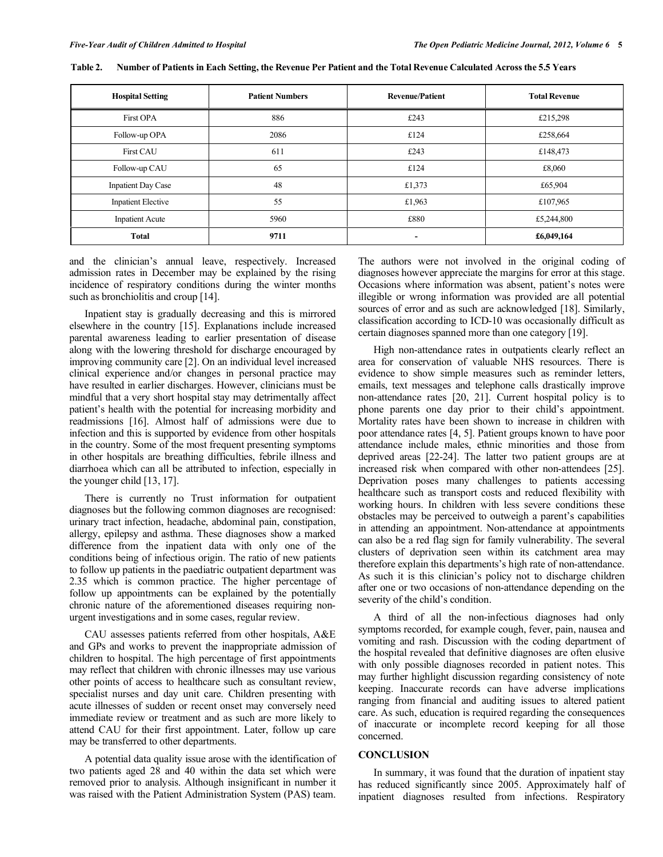| <b>Hospital Setting</b>   | <b>Patient Numbers</b> | <b>Revenue/Patient</b> | <b>Total Revenue</b> |
|---------------------------|------------------------|------------------------|----------------------|
| <b>First OPA</b>          | 886                    | £243                   | £215,298             |
| Follow-up OPA             | 2086                   | £124                   | £258,664             |
| <b>First CAU</b>          | 611                    | £243                   | £148,473             |
| Follow-up CAU             | 65                     | £124                   | £8,060               |
| <b>Inpatient Day Case</b> | 48                     | £1,373                 | £65,904              |
| <b>Inpatient Elective</b> | 55                     | £1,963                 | £107,965             |
| <b>Inpatient Acute</b>    | 5960                   | £880                   | £5,244,800           |
| <b>Total</b>              | 9711                   | ۰                      | £6,049,164           |

**Table 2. Number of Patients in Each Setting, the Revenue Per Patient and the Total Revenue Calculated Across the 5.5 Years** 

and the clinician's annual leave, respectively. Increased admission rates in December may be explained by the rising incidence of respiratory conditions during the winter months such as bronchiolitis and croup [14].

 Inpatient stay is gradually decreasing and this is mirrored elsewhere in the country [15]. Explanations include increased parental awareness leading to earlier presentation of disease along with the lowering threshold for discharge encouraged by improving community care [2]. On an individual level increased clinical experience and/or changes in personal practice may have resulted in earlier discharges. However, clinicians must be mindful that a very short hospital stay may detrimentally affect patient's health with the potential for increasing morbidity and readmissions [16]. Almost half of admissions were due to infection and this is supported by evidence from other hospitals in the country. Some of the most frequent presenting symptoms in other hospitals are breathing difficulties, febrile illness and diarrhoea which can all be attributed to infection, especially in the younger child [13, 17].

 There is currently no Trust information for outpatient diagnoses but the following common diagnoses are recognised: urinary tract infection, headache, abdominal pain, constipation, allergy, epilepsy and asthma. These diagnoses show a marked difference from the inpatient data with only one of the conditions being of infectious origin. The ratio of new patients to follow up patients in the paediatric outpatient department was 2.35 which is common practice. The higher percentage of follow up appointments can be explained by the potentially chronic nature of the aforementioned diseases requiring nonurgent investigations and in some cases, regular review.

 CAU assesses patients referred from other hospitals, A&E and GPs and works to prevent the inappropriate admission of children to hospital. The high percentage of first appointments may reflect that children with chronic illnesses may use various other points of access to healthcare such as consultant review, specialist nurses and day unit care. Children presenting with acute illnesses of sudden or recent onset may conversely need immediate review or treatment and as such are more likely to attend CAU for their first appointment. Later, follow up care may be transferred to other departments.

 A potential data quality issue arose with the identification of two patients aged 28 and 40 within the data set which were removed prior to analysis. Although insignificant in number it was raised with the Patient Administration System (PAS) team.

The authors were not involved in the original coding of diagnoses however appreciate the margins for error at this stage. Occasions where information was absent, patient's notes were illegible or wrong information was provided are all potential sources of error and as such are acknowledged [18]. Similarly, classification according to ICD-10 was occasionally difficult as certain diagnoses spanned more than one category [19].

 High non-attendance rates in outpatients clearly reflect an area for conservation of valuable NHS resources. There is evidence to show simple measures such as reminder letters, emails, text messages and telephone calls drastically improve non-attendance rates [20, 21]. Current hospital policy is to phone parents one day prior to their child's appointment. Mortality rates have been shown to increase in children with poor attendance rates [4, 5]. Patient groups known to have poor attendance include males, ethnic minorities and those from deprived areas [22-24]. The latter two patient groups are at increased risk when compared with other non-attendees [25]. Deprivation poses many challenges to patients accessing healthcare such as transport costs and reduced flexibility with working hours. In children with less severe conditions these obstacles may be perceived to outweigh a parent's capabilities in attending an appointment. Non-attendance at appointments can also be a red flag sign for family vulnerability. The several clusters of deprivation seen within its catchment area may therefore explain this departments's high rate of non-attendance. As such it is this clinician's policy not to discharge children after one or two occasions of non-attendance depending on the severity of the child's condition.

 A third of all the non-infectious diagnoses had only symptoms recorded, for example cough, fever, pain, nausea and vomiting and rash. Discussion with the coding department of the hospital revealed that definitive diagnoses are often elusive with only possible diagnoses recorded in patient notes. This may further highlight discussion regarding consistency of note keeping. Inaccurate records can have adverse implications ranging from financial and auditing issues to altered patient care. As such, education is required regarding the consequences of inaccurate or incomplete record keeping for all those concerned.

#### **CONCLUSION**

 In summary, it was found that the duration of inpatient stay has reduced significantly since 2005. Approximately half of inpatient diagnoses resulted from infections. Respiratory